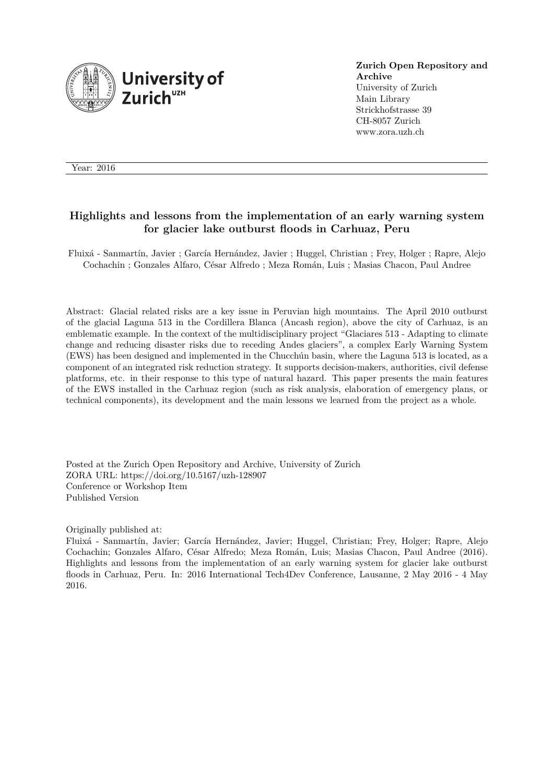

**Zurich Open Repository and Archive** University of Zurich Main Library Strickhofstrasse 39 CH-8057 Zurich www.zora.uzh.ch

Year: 2016

# **Highlights and lessons from the implementation of an early warning system for glacier lake outburst floods in Carhuaz, Peru**

Fluixá - Sanmartín, Javier ; García Hernández, Javier ; Huggel, Christian ; Frey, Holger ; Rapre, Alejo Cochachin ; Gonzales Alfaro, César Alfredo ; Meza Román, Luis ; Masias Chacon, Paul Andree

Abstract: Glacial related risks are a key issue in Peruvian high mountains. The April 2010 outburst of the glacial Laguna 513 in the Cordillera Blanca (Ancash region), above the city of Carhuaz, is an emblematic example. In the context of the multidisciplinary project "Glaciares 513 - Adapting to climate change and reducing disaster risks due to receding Andes glaciers", a complex Early Warning System (EWS) has been designed and implemented in the Chucchún basin, where the Laguna 513 is located, as a component of an integrated risk reduction strategy. It supports decision-makers, authorities, civil defense platforms, etc. in their response to this type of natural hazard. This paper presents the main features of the EWS installed in the Carhuaz region (such as risk analysis, elaboration of emergency plans, or technical components), its development and the main lessons we learned from the project as a whole.

Posted at the Zurich Open Repository and Archive, University of Zurich ZORA URL: https://doi.org/10.5167/uzh-128907 Conference or Workshop Item Published Version

Originally published at:

Fluixá - Sanmartín, Javier; García Hernández, Javier; Huggel, Christian; Frey, Holger; Rapre, Alejo Cochachin; Gonzales Alfaro, César Alfredo; Meza Román, Luis; Masias Chacon, Paul Andree (2016). Highlights and lessons from the implementation of an early warning system for glacier lake outburst floods in Carhuaz, Peru. In: 2016 International Tech4Dev Conference, Lausanne, 2 May 2016 - 4 May 2016.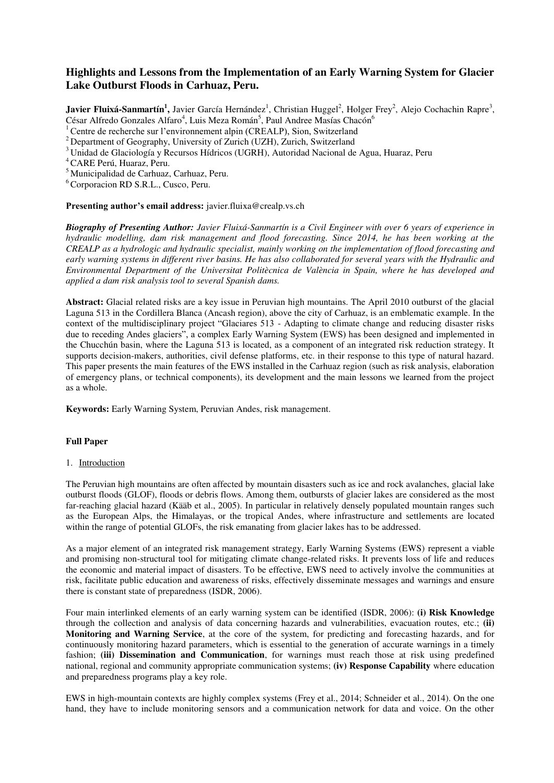# **Highlights and Lessons from the Implementation of an Early Warning System for Glacier Lake Outburst Floods in Carhuaz, Peru.**

Javier Fluixá-Sanmartín<sup>1</sup>, Javier García Hernández<sup>1</sup>, Christian Huggel<sup>2</sup>, Holger Frey<sup>2</sup>, Alejo Cochachin Rapre<sup>3</sup>, César Alfredo Gonzales Alfaro<sup>4</sup>, Luis Meza Román<sup>5</sup>, Paul Andree Masías Chacón<sup>6</sup>

<sup>1</sup>Centre de recherche sur l'environnement alpin (CREALP), Sion, Switzerland

 $2$  Department of Geography, University of Zurich (UZH), Zurich, Switzerland

<sup>3</sup>Unidad de Glaciología y Recursos Hídricos (UGRH), Autoridad Nacional de Agua, Huaraz, Peru

<sup>4</sup>CARE Perú, Huaraz, Peru.

<sup>5</sup>Municipalidad de Carhuaz, Carhuaz, Peru.

<sup>6</sup> Corporacion RD S.R.L., Cusco, Peru.

#### **Presenting author's email address:** javier.fluixa@crealp.vs.ch

*Biography of Presenting Author: Javier Fluixá-Sanmartín is a Civil Engineer with over 6 years of experience in hydraulic modelling, dam risk management and flood forecasting. Since 2014, he has been working at the CREALP as a hydrologic and hydraulic specialist, mainly working on the implementation of flood forecasting and early warning systems in different river basins. He has also collaborated for several years with the Hydraulic and Environmental Department of the Universitat Politècnica de València in Spain, where he has developed and applied a dam risk analysis tool to several Spanish dams.*

**Abstract:** Glacial related risks are a key issue in Peruvian high mountains. The April 2010 outburst of the glacial Laguna 513 in the Cordillera Blanca (Ancash region), above the city of Carhuaz, is an emblematic example. In the context of the multidisciplinary project "Glaciares 513 - Adapting to climate change and reducing disaster risks due to receding Andes glaciers", a complex Early Warning System (EWS) has been designed and implemented in the Chucchún basin, where the Laguna 513 is located, as a component of an integrated risk reduction strategy. It supports decision-makers, authorities, civil defense platforms, etc. in their response to this type of natural hazard. This paper presents the main features of the EWS installed in the Carhuaz region (such as risk analysis, elaboration of emergency plans, or technical components), its development and the main lessons we learned from the project as a whole.

**Keywords:** Early Warning System, Peruvian Andes, risk management.

### **Full Paper**

### 1. Introduction

The Peruvian high mountains are often affected by mountain disasters such as ice and rock avalanches, glacial lake outburst floods (GLOF), floods or debris flows. Among them, outbursts of glacier lakes are considered as the most far-reaching glacial hazard (Kääb et al., 2005). In particular in relatively densely populated mountain ranges such as the European Alps, the Himalayas, or the tropical Andes, where infrastructure and settlements are located within the range of potential GLOFs, the risk emanating from glacier lakes has to be addressed.

As a major element of an integrated risk management strategy, Early Warning Systems (EWS) represent a viable and promising non-structural tool for mitigating climate change-related risks. It prevents loss of life and reduces the economic and material impact of disasters. To be effective, EWS need to actively involve the communities at risk, facilitate public education and awareness of risks, effectively disseminate messages and warnings and ensure there is constant state of preparedness (ISDR, 2006).

Four main interlinked elements of an early warning system can be identified (ISDR, 2006): **(i) Risk Knowledge** through the collection and analysis of data concerning hazards and vulnerabilities, evacuation routes, etc.; **(ii) Monitoring and Warning Service**, at the core of the system, for predicting and forecasting hazards, and for continuously monitoring hazard parameters, which is essential to the generation of accurate warnings in a timely fashion; **(iii) Dissemination and Communication**, for warnings must reach those at risk using predefined national, regional and community appropriate communication systems; **(iv) Response Capability** where education and preparedness programs play a key role.

EWS in high-mountain contexts are highly complex systems (Frey et al., 2014; Schneider et al., 2014). On the one hand, they have to include monitoring sensors and a communication network for data and voice. On the other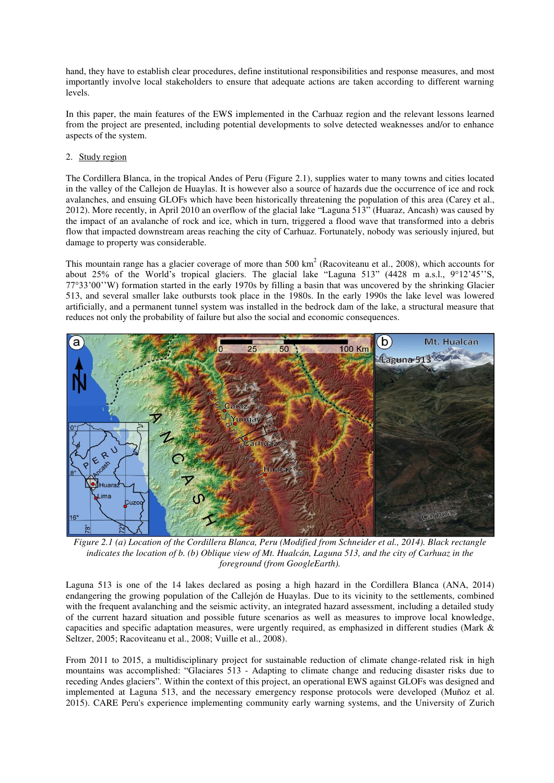hand, they have to establish clear procedures, define institutional responsibilities and response measures, and most importantly involve local stakeholders to ensure that adequate actions are taken according to different warning levels.

In this paper, the main features of the EWS implemented in the Carhuaz region and the relevant lessons learned from the project are presented, including potential developments to solve detected weaknesses and/or to enhance aspects of the system.

# 2. Study region

The Cordillera Blanca, in the tropical Andes of Peru [\(Figure 2.1\)](#page-2-0), supplies water to many towns and cities located in the valley of the Callejon de Huaylas. It is however also a source of hazards due the occurrence of ice and rock avalanches, and ensuing GLOFs which have been historically threatening the population of this area (Carey et al., 2012). More recently, in April 2010 an overflow of the glacial lake "Laguna 513" (Huaraz, Ancash) was caused by the impact of an avalanche of rock and ice, which in turn, triggered a flood wave that transformed into a debris flow that impacted downstream areas reaching the city of Carhuaz. Fortunately, nobody was seriously injured, but damage to property was considerable.

This mountain range has a glacier coverage of more than  $500 \text{ km}^2$  (Racoviteanu et al., 2008), which accounts for about 25% of the World's tropical glaciers. The glacial lake "Laguna 513" (4428 m a.s.l.,  $9^{\circ}12^{\circ}45^{\circ}$ 'S, 77°33'00''W) formation started in the early 1970s by filling a basin that was uncovered by the shrinking Glacier 513, and several smaller lake outbursts took place in the 1980s. In the early 1990s the lake level was lowered artificially, and a permanent tunnel system was installed in the bedrock dam of the lake, a structural measure that reduces not only the probability of failure but also the social and economic consequences.



<span id="page-2-0"></span>*Figure 2.1 (a) Location of the Cordillera Blanca, Peru (Modified from Schneider et al., 2014). Black rectangle indicates the location of b. (b) Oblique view of Mt. Hualcán, Laguna 513, and the city of Carhuaz in the foreground (from GoogleEarth).* 

Laguna 513 is one of the 14 lakes declared as posing a high hazard in the Cordillera Blanca (ANA, 2014) endangering the growing population of the Callejón de Huaylas. Due to its vicinity to the settlements, combined with the frequent avalanching and the seismic activity, an integrated hazard assessment, including a detailed study of the current hazard situation and possible future scenarios as well as measures to improve local knowledge, capacities and specific adaptation measures, were urgently required, as emphasized in different studies (Mark & Seltzer, 2005; Racoviteanu et al., 2008; Vuille et al., 2008).

From 2011 to 2015, a multidisciplinary project for sustainable reduction of climate change-related risk in high mountains was accomplished: "Glaciares 513 - Adapting to climate change and reducing disaster risks due to receding Andes glaciers". Within the context of this project, an operational EWS against GLOFs was designed and implemented at Laguna 513, and the necessary emergency response protocols were developed (Muñoz et al. 2015). CARE Peru's experience implementing community early warning systems, and the University of Zurich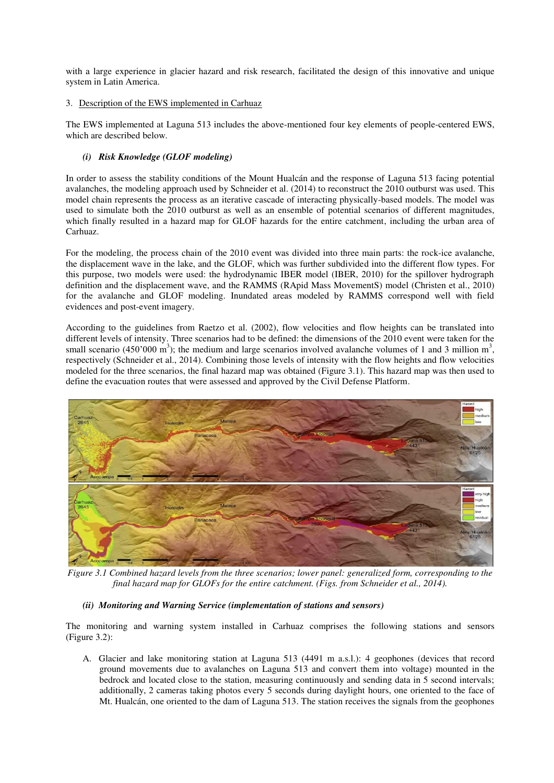with a large experience in glacier hazard and risk research, facilitated the design of this innovative and unique system in Latin America.

# 3. Description of the EWS implemented in Carhuaz

The EWS implemented at Laguna 513 includes the above-mentioned four key elements of people-centered EWS, which are described below.

# *(i) Risk Knowledge (GLOF modeling)*

In order to assess the stability conditions of the Mount Hualcán and the response of Laguna 513 facing potential avalanches, the modeling approach used by Schneider et al. (2014) to reconstruct the 2010 outburst was used. This model chain represents the process as an iterative cascade of interacting physically-based models. The model was used to simulate both the 2010 outburst as well as an ensemble of potential scenarios of different magnitudes, which finally resulted in a hazard map for GLOF hazards for the entire catchment, including the urban area of Carhuaz.

For the modeling, the process chain of the 2010 event was divided into three main parts: the rock-ice avalanche, the displacement wave in the lake, and the GLOF, which was further subdivided into the different flow types. For this purpose, two models were used: the hydrodynamic IBER model (IBER, 2010) for the spillover hydrograph definition and the displacement wave, and the RAMMS (RApid Mass MovementS) model (Christen et al., 2010) for the avalanche and GLOF modeling. Inundated areas modeled by RAMMS correspond well with field evidences and post-event imagery.

According to the guidelines from Raetzo et al. (2002), flow velocities and flow heights can be translated into different levels of intensity. Three scenarios had to be defined: the dimensions of the 2010 event were taken for the small scenario (450'000 m<sup>3</sup>); the medium and large scenarios involved avalanche volumes of 1 and 3 million m<sup>3</sup>, respectively (Schneider et al., 2014). Combining those levels of intensity with the flow heights and flow velocities modeled for the three scenarios, the final hazard map was obtained [\(Figure 3.1\)](#page-3-0). This hazard map was then used to define the evacuation routes that were assessed and approved by the Civil Defense Platform.



<span id="page-3-0"></span>*Figure 3.1 Combined hazard levels from the three scenarios; lower panel: generalized form, corresponding to the final hazard map for GLOFs for the entire catchment. (Figs. from Schneider et al., 2014).*

# *(ii) Monitoring and Warning Service (implementation of stations and sensors)*

The monitoring and warning system installed in Carhuaz comprises the following stations and sensors (Figure 3.2):

A. Glacier and lake monitoring station at Laguna 513 (4491 m a.s.l.): 4 geophones (devices that record ground movements due to avalanches on Laguna 513 and convert them into voltage) mounted in the bedrock and located close to the station, measuring continuously and sending data in 5 second intervals; additionally, 2 cameras taking photos every 5 seconds during daylight hours, one oriented to the face of Mt. Hualcán, one oriented to the dam of Laguna 513. The station receives the signals from the geophones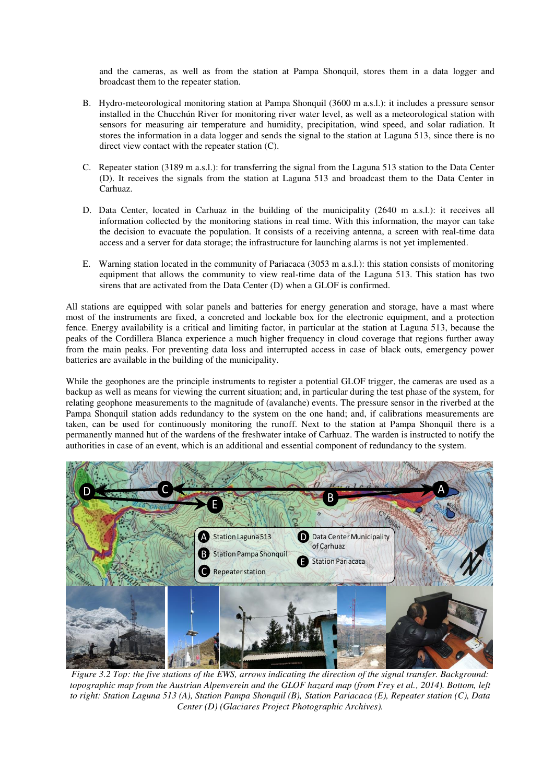and the cameras, as well as from the station at Pampa Shonquil, stores them in a data logger and broadcast them to the repeater station.

- B. Hydro-meteorological monitoring station at Pampa Shonquil (3600 m a.s.l.): it includes a pressure sensor installed in the Chucchún River for monitoring river water level, as well as a meteorological station with sensors for measuring air temperature and humidity, precipitation, wind speed, and solar radiation. It stores the information in a data logger and sends the signal to the station at Laguna 513, since there is no direct view contact with the repeater station (C).
- C. Repeater station (3189 m a.s.l.): for transferring the signal from the Laguna 513 station to the Data Center (D). It receives the signals from the station at Laguna 513 and broadcast them to the Data Center in Carhuaz.
- D. Data Center, located in Carhuaz in the building of the municipality (2640 m a.s.l.): it receives all information collected by the monitoring stations in real time. With this information, the mayor can take the decision to evacuate the population. It consists of a receiving antenna, a screen with real-time data access and a server for data storage; the infrastructure for launching alarms is not yet implemented.
- E. Warning station located in the community of Pariacaca (3053 m a.s.l.): this station consists of monitoring equipment that allows the community to view real-time data of the Laguna 513. This station has two sirens that are activated from the Data Center (D) when a GLOF is confirmed.

All stations are equipped with solar panels and batteries for energy generation and storage, have a mast where most of the instruments are fixed, a concreted and lockable box for the electronic equipment, and a protection fence. Energy availability is a critical and limiting factor, in particular at the station at Laguna 513, because the peaks of the Cordillera Blanca experience a much higher frequency in cloud coverage that regions further away from the main peaks. For preventing data loss and interrupted access in case of black outs, emergency power batteries are available in the building of the municipality.

While the geophones are the principle instruments to register a potential GLOF trigger, the cameras are used as a backup as well as means for viewing the current situation; and, in particular during the test phase of the system, for relating geophone measurements to the magnitude of (avalanche) events. The pressure sensor in the riverbed at the Pampa Shonquil station adds redundancy to the system on the one hand; and, if calibrations measurements are taken, can be used for continuously monitoring the runoff. Next to the station at Pampa Shonquil there is a permanently manned hut of the wardens of the freshwater intake of Carhuaz. The warden is instructed to notify the authorities in case of an event, which is an additional and essential component of redundancy to the system.



*Figure 3.2 Top: the five stations of the EWS, arrows indicating the direction of the signal transfer. Background: topographic map from the Austrian Alpenverein and the GLOF hazard map (from Frey et al., 2014). Bottom, left to right: Station Laguna 513 (A), Station Pampa Shonquil (B), Station Pariacaca (E), Repeater station (C), Data Center (D) (Glaciares Project Photographic Archives).*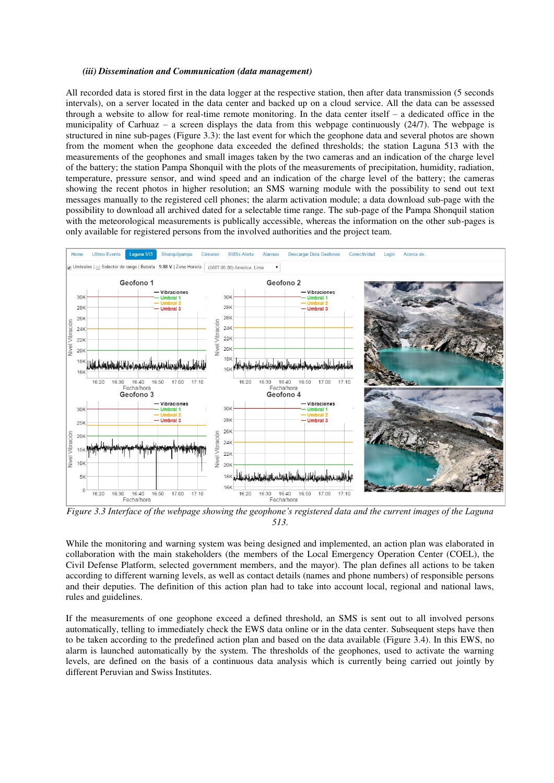#### *(iii) Dissemination and Communication (data management)*

All recorded data is stored first in the data logger at the respective station, then after data transmission (5 seconds intervals), on a server located in the data center and backed up on a cloud service. All the data can be assessed through a website to allow for real-time remote monitoring. In the data center itself  $-$  a dedicated office in the municipality of Carhuaz – a screen displays the data from this webpage continuously (24/7). The webpage is structured in nine sub-pages [\(Figure 3.3\)](#page-5-0): the last event for which the geophone data and several photos are shown from the moment when the geophone data exceeded the defined thresholds; the station Laguna 513 with the measurements of the geophones and small images taken by the two cameras and an indication of the charge level of the battery; the station Pampa Shonquil with the plots of the measurements of precipitation, humidity, radiation, temperature, pressure sensor, and wind speed and an indication of the charge level of the battery; the cameras showing the recent photos in higher resolution; an SMS warning module with the possibility to send out text messages manually to the registered cell phones; the alarm activation module; a data download sub-page with the possibility to download all archived dated for a selectable time range. The sub-page of the Pampa Shonquil station with the meteorological measurements is publically accessible, whereas the information on the other sub-pages is only available for registered persons from the involved authorities and the project team.



<span id="page-5-0"></span>*Figure 3.3 Interface of the webpage showing the geophone's registered data and the current images of the Laguna 513.*

While the monitoring and warning system was being designed and implemented, an action plan was elaborated in collaboration with the main stakeholders (the members of the Local Emergency Operation Center (COEL), the Civil Defense Platform, selected government members, and the mayor). The plan defines all actions to be taken according to different warning levels, as well as contact details (names and phone numbers) of responsible persons and their deputies. The definition of this action plan had to take into account local, regional and national laws, rules and guidelines.

If the measurements of one geophone exceed a defined threshold, an SMS is sent out to all involved persons automatically, telling to immediately check the EWS data online or in the data center. Subsequent steps have then to be taken according to the predefined action plan and based on the data available [\(Figure 3.4\)](#page-6-0). In this EWS, no alarm is launched automatically by the system. The thresholds of the geophones, used to activate the warning levels, are defined on the basis of a continuous data analysis which is currently being carried out jointly by different Peruvian and Swiss Institutes.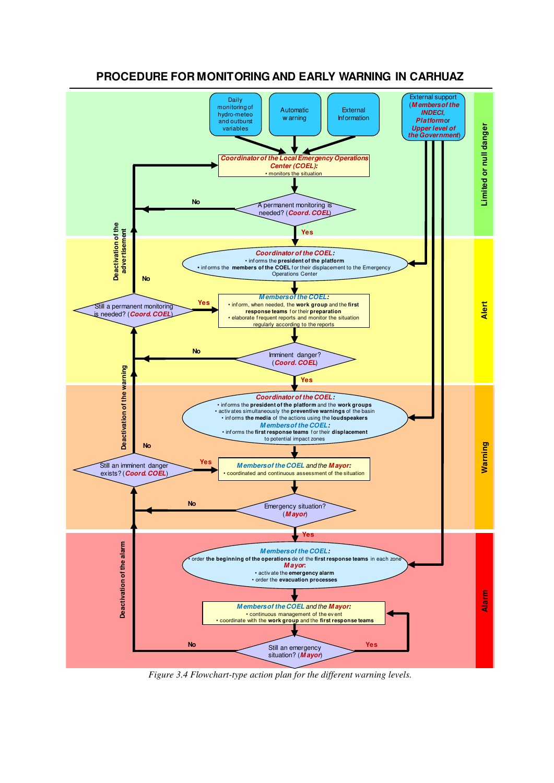

**PROCEDURE FOR MONITORING AND EARLY WARNING IN CARHUAZ**

<span id="page-6-0"></span>*Figure 3.4 Flowchart-type action plan for the different warning levels.*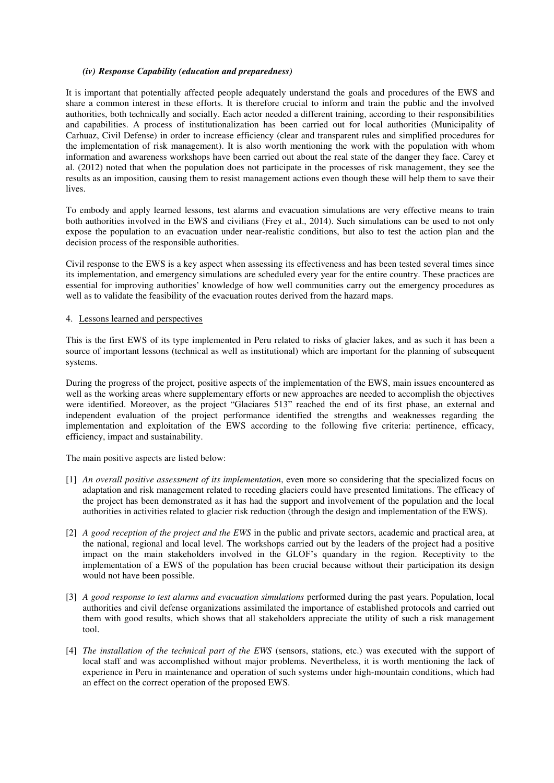#### *(iv) Response Capability (education and preparedness)*

It is important that potentially affected people adequately understand the goals and procedures of the EWS and share a common interest in these efforts. It is therefore crucial to inform and train the public and the involved authorities, both technically and socially. Each actor needed a different training, according to their responsibilities and capabilities. A process of institutionalization has been carried out for local authorities (Municipality of Carhuaz, Civil Defense) in order to increase efficiency (clear and transparent rules and simplified procedures for the implementation of risk management). It is also worth mentioning the work with the population with whom information and awareness workshops have been carried out about the real state of the danger they face. Carey et al. (2012) noted that when the population does not participate in the processes of risk management, they see the results as an imposition, causing them to resist management actions even though these will help them to save their lives.

To embody and apply learned lessons, test alarms and evacuation simulations are very effective means to train both authorities involved in the EWS and civilians (Frey et al., 2014). Such simulations can be used to not only expose the population to an evacuation under near-realistic conditions, but also to test the action plan and the decision process of the responsible authorities.

Civil response to the EWS is a key aspect when assessing its effectiveness and has been tested several times since its implementation, and emergency simulations are scheduled every year for the entire country. These practices are essential for improving authorities' knowledge of how well communities carry out the emergency procedures as well as to validate the feasibility of the evacuation routes derived from the hazard maps.

#### 4. Lessons learned and perspectives

This is the first EWS of its type implemented in Peru related to risks of glacier lakes, and as such it has been a source of important lessons (technical as well as institutional) which are important for the planning of subsequent systems.

During the progress of the project, positive aspects of the implementation of the EWS, main issues encountered as well as the working areas where supplementary efforts or new approaches are needed to accomplish the objectives were identified. Moreover, as the project "Glaciares 513" reached the end of its first phase, an external and independent evaluation of the project performance identified the strengths and weaknesses regarding the implementation and exploitation of the EWS according to the following five criteria: pertinence, efficacy, efficiency, impact and sustainability.

The main positive aspects are listed below:

- [1] *An overall positive assessment of its implementation*, even more so considering that the specialized focus on adaptation and risk management related to receding glaciers could have presented limitations. The efficacy of the project has been demonstrated as it has had the support and involvement of the population and the local authorities in activities related to glacier risk reduction (through the design and implementation of the EWS).
- [2] *A good reception of the project and the EWS* in the public and private sectors, academic and practical area, at the national, regional and local level. The workshops carried out by the leaders of the project had a positive impact on the main stakeholders involved in the GLOF's quandary in the region. Receptivity to the implementation of a EWS of the population has been crucial because without their participation its design would not have been possible.
- [3] *A good response to test alarms and evacuation simulations* performed during the past years. Population, local authorities and civil defense organizations assimilated the importance of established protocols and carried out them with good results, which shows that all stakeholders appreciate the utility of such a risk management tool.
- [4] *The installation of the technical part of the EWS* (sensors, stations, etc.) was executed with the support of local staff and was accomplished without major problems. Nevertheless, it is worth mentioning the lack of experience in Peru in maintenance and operation of such systems under high-mountain conditions, which had an effect on the correct operation of the proposed EWS.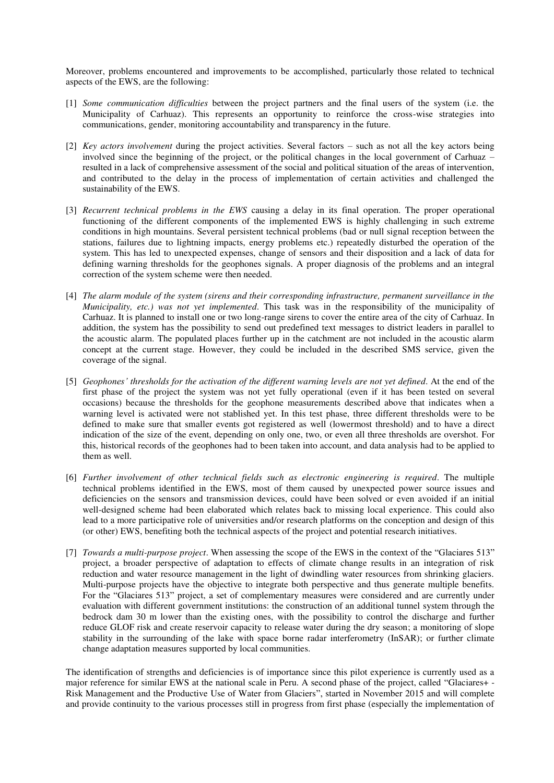Moreover, problems encountered and improvements to be accomplished, particularly those related to technical aspects of the EWS, are the following:

- [1] *Some communication difficulties* between the project partners and the final users of the system (i.e. the Municipality of Carhuaz). This represents an opportunity to reinforce the cross-wise strategies into communications, gender, monitoring accountability and transparency in the future.
- [2] *Key actors involvement* during the project activities. Several factors such as not all the key actors being involved since the beginning of the project, or the political changes in the local government of Carhuaz – resulted in a lack of comprehensive assessment of the social and political situation of the areas of intervention, and contributed to the delay in the process of implementation of certain activities and challenged the sustainability of the EWS.
- [3] *Recurrent technical problems in the EWS* causing a delay in its final operation. The proper operational functioning of the different components of the implemented EWS is highly challenging in such extreme conditions in high mountains. Several persistent technical problems (bad or null signal reception between the stations, failures due to lightning impacts, energy problems etc.) repeatedly disturbed the operation of the system. This has led to unexpected expenses, change of sensors and their disposition and a lack of data for defining warning thresholds for the geophones signals. A proper diagnosis of the problems and an integral correction of the system scheme were then needed.
- [4] *The alarm module of the system (sirens and their corresponding infrastructure, permanent surveillance in the Municipality, etc.) was not yet implemented*. This task was in the responsibility of the municipality of Carhuaz. It is planned to install one or two long-range sirens to cover the entire area of the city of Carhuaz. In addition, the system has the possibility to send out predefined text messages to district leaders in parallel to the acoustic alarm. The populated places further up in the catchment are not included in the acoustic alarm concept at the current stage. However, they could be included in the described SMS service, given the coverage of the signal.
- [5] *Geophones' thresholds for the activation of the different warning levels are not yet defined*. At the end of the first phase of the project the system was not yet fully operational (even if it has been tested on several occasions) because the thresholds for the geophone measurements described above that indicates when a warning level is activated were not stablished yet. In this test phase, three different thresholds were to be defined to make sure that smaller events got registered as well (lowermost threshold) and to have a direct indication of the size of the event, depending on only one, two, or even all three thresholds are overshot. For this, historical records of the geophones had to been taken into account, and data analysis had to be applied to them as well.
- [6] *Further involvement of other technical fields such as electronic engineering is required*. The multiple technical problems identified in the EWS, most of them caused by unexpected power source issues and deficiencies on the sensors and transmission devices, could have been solved or even avoided if an initial well-designed scheme had been elaborated which relates back to missing local experience. This could also lead to a more participative role of universities and/or research platforms on the conception and design of this (or other) EWS, benefiting both the technical aspects of the project and potential research initiatives.
- [7] *Towards a multi-purpose project*. When assessing the scope of the EWS in the context of the "Glaciares 513" project, a broader perspective of adaptation to effects of climate change results in an integration of risk reduction and water resource management in the light of dwindling water resources from shrinking glaciers. Multi-purpose projects have the objective to integrate both perspective and thus generate multiple benefits. For the "Glaciares 513" project, a set of complementary measures were considered and are currently under evaluation with different government institutions: the construction of an additional tunnel system through the bedrock dam 30 m lower than the existing ones, with the possibility to control the discharge and further reduce GLOF risk and create reservoir capacity to release water during the dry season; a monitoring of slope stability in the surrounding of the lake with space borne radar interferometry (InSAR); or further climate change adaptation measures supported by local communities.

The identification of strengths and deficiencies is of importance since this pilot experience is currently used as a major reference for similar EWS at the national scale in Peru. A second phase of the project, called "Glaciares+ - Risk Management and the Productive Use of Water from Glaciers", started in November 2015 and will complete and provide continuity to the various processes still in progress from first phase (especially the implementation of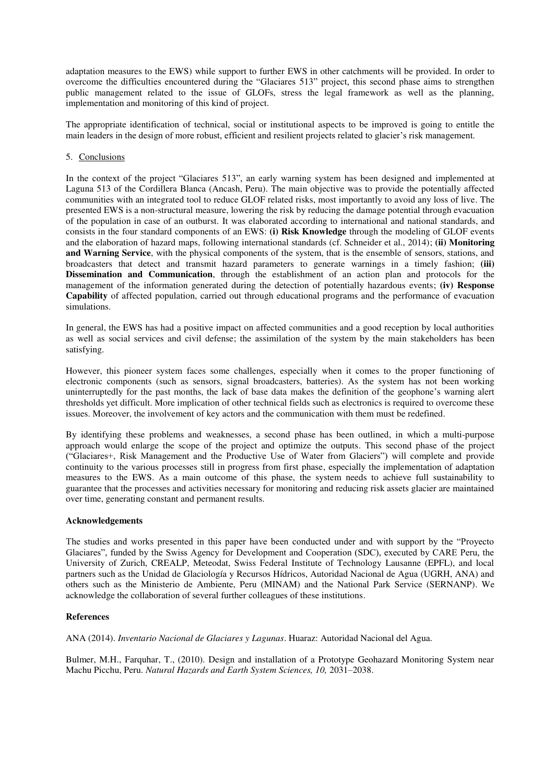adaptation measures to the EWS) while support to further EWS in other catchments will be provided. In order to overcome the difficulties encountered during the "Glaciares 513" project, this second phase aims to strengthen public management related to the issue of GLOFs, stress the legal framework as well as the planning, implementation and monitoring of this kind of project.

The appropriate identification of technical, social or institutional aspects to be improved is going to entitle the main leaders in the design of more robust, efficient and resilient projects related to glacier's risk management.

### 5. Conclusions

In the context of the project "Glaciares 513", an early warning system has been designed and implemented at Laguna 513 of the Cordillera Blanca (Ancash, Peru). The main objective was to provide the potentially affected communities with an integrated tool to reduce GLOF related risks, most importantly to avoid any loss of live. The presented EWS is a non-structural measure, lowering the risk by reducing the damage potential through evacuation of the population in case of an outburst. It was elaborated according to international and national standards, and consists in the four standard components of an EWS: **(i) Risk Knowledge** through the modeling of GLOF events and the elaboration of hazard maps, following international standards (cf. Schneider et al., 2014); **(ii) Monitoring and Warning Service**, with the physical components of the system, that is the ensemble of sensors, stations, and broadcasters that detect and transmit hazard parameters to generate warnings in a timely fashion; **(iii) Dissemination and Communication**, through the establishment of an action plan and protocols for the management of the information generated during the detection of potentially hazardous events; **(iv) Response Capability** of affected population, carried out through educational programs and the performance of evacuation simulations.

In general, the EWS has had a positive impact on affected communities and a good reception by local authorities as well as social services and civil defense; the assimilation of the system by the main stakeholders has been satisfying.

However, this pioneer system faces some challenges, especially when it comes to the proper functioning of electronic components (such as sensors, signal broadcasters, batteries). As the system has not been working uninterruptedly for the past months, the lack of base data makes the definition of the geophone's warning alert thresholds yet difficult. More implication of other technical fields such as electronics is required to overcome these issues. Moreover, the involvement of key actors and the communication with them must be redefined.

By identifying these problems and weaknesses, a second phase has been outlined, in which a multi-purpose approach would enlarge the scope of the project and optimize the outputs. This second phase of the project ("Glaciares+, Risk Management and the Productive Use of Water from Glaciers") will complete and provide continuity to the various processes still in progress from first phase, especially the implementation of adaptation measures to the EWS. As a main outcome of this phase, the system needs to achieve full sustainability to guarantee that the processes and activities necessary for monitoring and reducing risk assets glacier are maintained over time, generating constant and permanent results.

#### **Acknowledgements**

The studies and works presented in this paper have been conducted under and with support by the "Proyecto Glaciares", funded by the Swiss Agency for Development and Cooperation (SDC), executed by CARE Peru, the University of Zurich, CREALP, Meteodat, Swiss Federal Institute of Technology Lausanne (EPFL), and local partners such as the Unidad de Glaciología y Recursos Hídricos, Autoridad Nacional de Agua (UGRH, ANA) and others such as the Ministerio de Ambiente, Peru (MINAM) and the National Park Service (SERNANP). We acknowledge the collaboration of several further colleagues of these institutions.

#### **References**

ANA (2014). *Inventario Nacional de Glaciares y Lagunas*. Huaraz: Autoridad Nacional del Agua.

Bulmer, M.H., Farquhar, T., (2010). Design and installation of a Prototype Geohazard Monitoring System near Machu Picchu, Peru. *Natural Hazards and Earth System Sciences, 10,* 2031–2038.